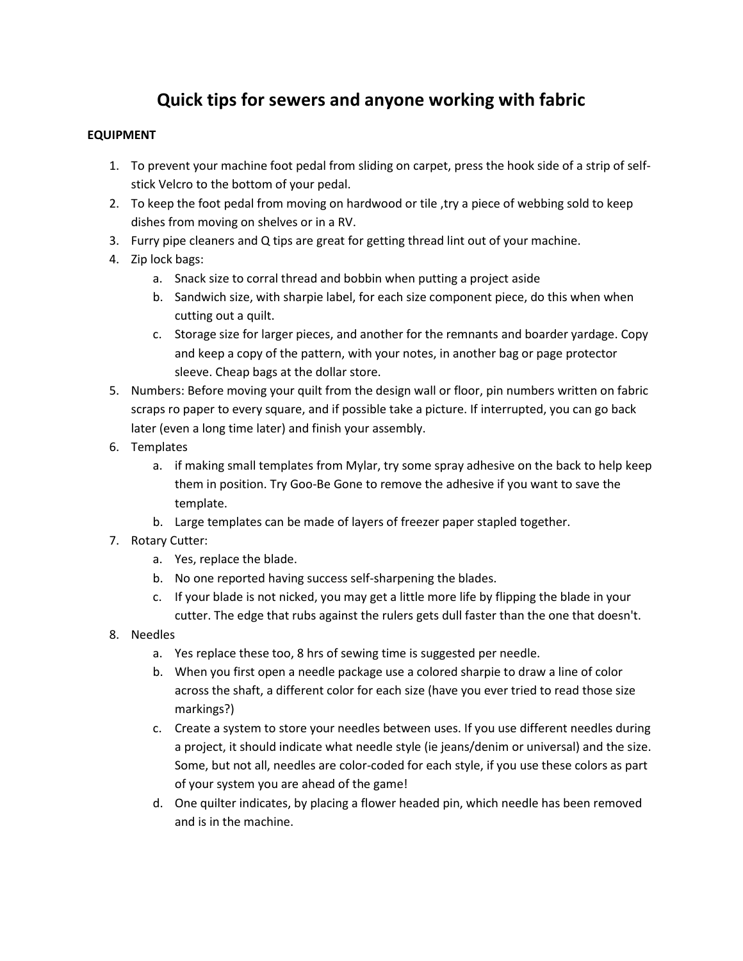# **Quick tips for sewers and anyone working with fabric**

#### **EQUIPMENT**

- 1. To prevent your machine foot pedal from sliding on carpet, press the hook side of a strip of selfstick Velcro to the bottom of your pedal.
- 2. To keep the foot pedal from moving on hardwood or tile ,try a piece of webbing sold to keep dishes from moving on shelves or in a RV.
- 3. Furry pipe cleaners and Q tips are great for getting thread lint out of your machine.
- 4. Zip lock bags:
	- a. Snack size to corral thread and bobbin when putting a project aside
	- b. Sandwich size, with sharpie label, for each size component piece, do this when when cutting out a quilt.
	- c. Storage size for larger pieces, and another for the remnants and boarder yardage. Copy and keep a copy of the pattern, with your notes, in another bag or page protector sleeve. Cheap bags at the dollar store.
- 5. Numbers: Before moving your quilt from the design wall or floor, pin numbers written on fabric scraps ro paper to every square, and if possible take a picture. If interrupted, you can go back later (even a long time later) and finish your assembly.
- 6. Templates
	- a. if making small templates from Mylar, try some spray adhesive on the back to help keep them in position. Try Goo-Be Gone to remove the adhesive if you want to save the template.
	- b. Large templates can be made of layers of freezer paper stapled together.
- 7. Rotary Cutter:
	- a. Yes, replace the blade.
	- b. No one reported having success self-sharpening the blades.
	- c. If your blade is not nicked, you may get a little more life by flipping the blade in your cutter. The edge that rubs against the rulers gets dull faster than the one that doesn't.
- 8. Needles
	- a. Yes replace these too, 8 hrs of sewing time is suggested per needle.
	- b. When you first open a needle package use a colored sharpie to draw a line of color across the shaft, a different color for each size (have you ever tried to read those size markings?)
	- c. Create a system to store your needles between uses. If you use different needles during a project, it should indicate what needle style (ie jeans/denim or universal) and the size. Some, but not all, needles are color-coded for each style, if you use these colors as part of your system you are ahead of the game!
	- d. One quilter indicates, by placing a flower headed pin, which needle has been removed and is in the machine.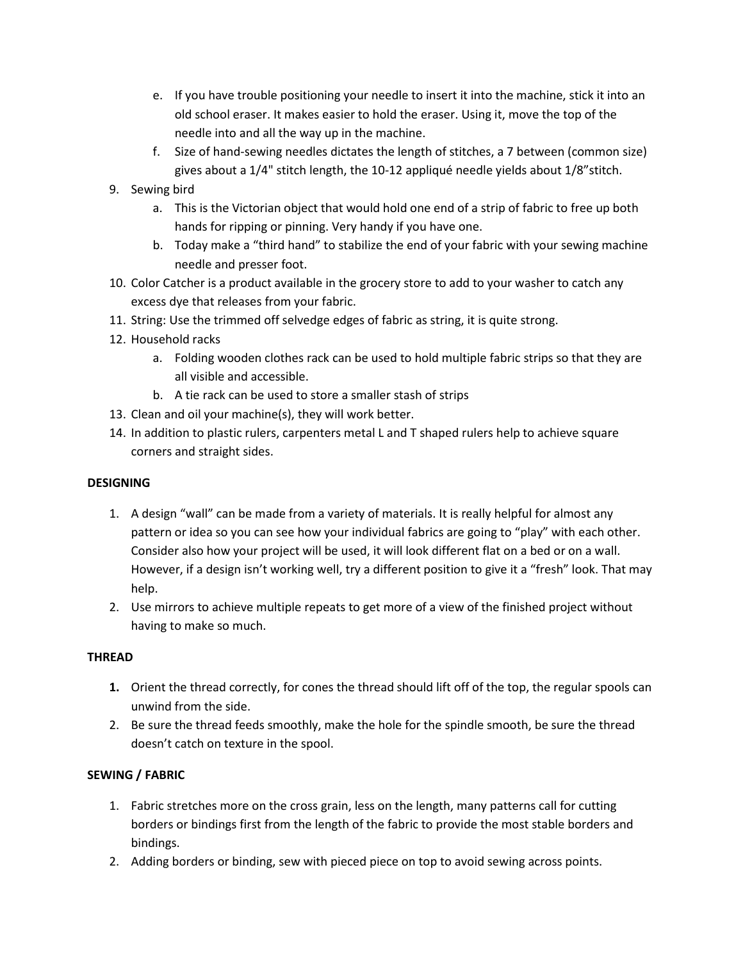- e. If you have trouble positioning your needle to insert it into the machine, stick it into an old school eraser. It makes easier to hold the eraser. Using it, move the top of the needle into and all the way up in the machine.
- f. Size of hand-sewing needles dictates the length of stitches, a 7 between (common size) gives about a 1/4" stitch length, the 10-12 appliqué needle yields about 1/8"stitch.
- 9. Sewing bird
	- a. This is the Victorian object that would hold one end of a strip of fabric to free up both hands for ripping or pinning. Very handy if you have one.
	- b. Today make a "third hand" to stabilize the end of your fabric with your sewing machine needle and presser foot.
- 10. Color Catcher is a product available in the grocery store to add to your washer to catch any excess dye that releases from your fabric.
- 11. String: Use the trimmed off selvedge edges of fabric as string, it is quite strong.
- 12. Household racks
	- a. Folding wooden clothes rack can be used to hold multiple fabric strips so that they are all visible and accessible.
	- b. A tie rack can be used to store a smaller stash of strips
- 13. Clean and oil your machine(s), they will work better.
- 14. In addition to plastic rulers, carpenters metal L and T shaped rulers help to achieve square corners and straight sides.

#### **DESIGNING**

- 1. A design "wall" can be made from a variety of materials. It is really helpful for almost any pattern or idea so you can see how your individual fabrics are going to "play" with each other. Consider also how your project will be used, it will look different flat on a bed or on a wall. However, if a design isn't working well, try a different position to give it a "fresh" look. That may help.
- 2. Use mirrors to achieve multiple repeats to get more of a view of the finished project without having to make so much.

# **THREAD**

- **1.** Orient the thread correctly, for cones the thread should lift off of the top, the regular spools can unwind from the side.
- 2. Be sure the thread feeds smoothly, make the hole for the spindle smooth, be sure the thread doesn't catch on texture in the spool.

# **SEWING / FABRIC**

- 1. Fabric stretches more on the cross grain, less on the length, many patterns call for cutting borders or bindings first from the length of the fabric to provide the most stable borders and bindings.
- 2. Adding borders or binding, sew with pieced piece on top to avoid sewing across points.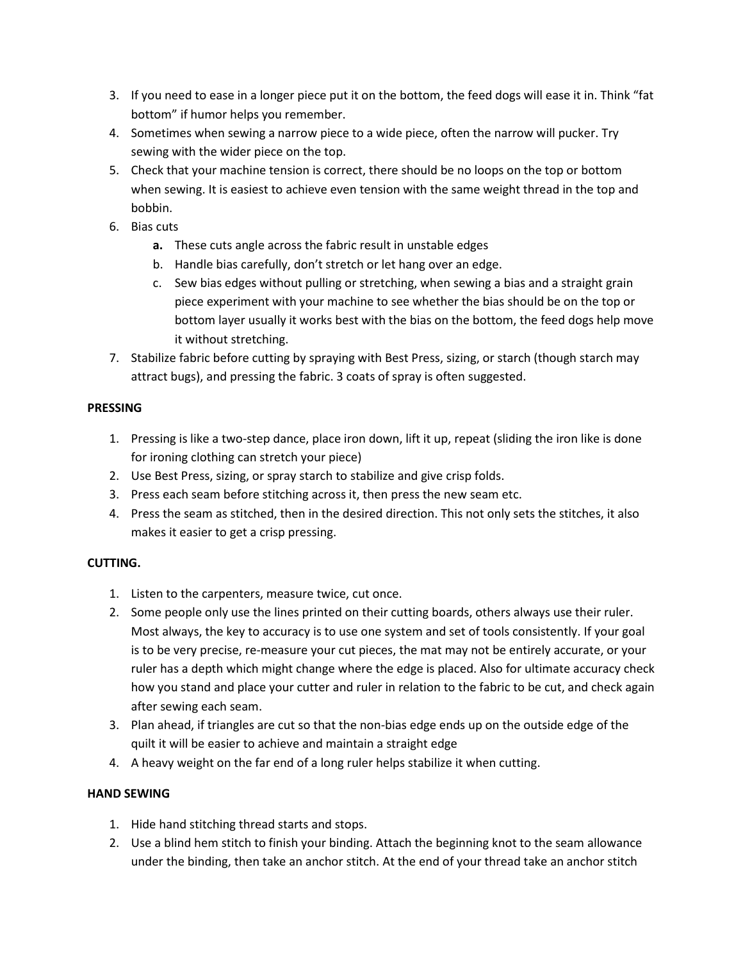- 3. If you need to ease in a longer piece put it on the bottom, the feed dogs will ease it in. Think "fat bottom" if humor helps you remember.
- 4. Sometimes when sewing a narrow piece to a wide piece, often the narrow will pucker. Try sewing with the wider piece on the top.
- 5. Check that your machine tension is correct, there should be no loops on the top or bottom when sewing. It is easiest to achieve even tension with the same weight thread in the top and bobbin.
- 6. Bias cuts
	- **a.** These cuts angle across the fabric result in unstable edges
	- b. Handle bias carefully, don't stretch or let hang over an edge.
	- c. Sew bias edges without pulling or stretching, when sewing a bias and a straight grain piece experiment with your machine to see whether the bias should be on the top or bottom layer usually it works best with the bias on the bottom, the feed dogs help move it without stretching.
- 7. Stabilize fabric before cutting by spraying with Best Press, sizing, or starch (though starch may attract bugs), and pressing the fabric. 3 coats of spray is often suggested.

# **PRESSING**

- 1. Pressing is like a two-step dance, place iron down, lift it up, repeat (sliding the iron like is done for ironing clothing can stretch your piece)
- 2. Use Best Press, sizing, or spray starch to stabilize and give crisp folds.
- 3. Press each seam before stitching across it, then press the new seam etc.
- 4. Press the seam as stitched, then in the desired direction. This not only sets the stitches, it also makes it easier to get a crisp pressing.

# **CUTTING.**

- 1. Listen to the carpenters, measure twice, cut once.
- 2. Some people only use the lines printed on their cutting boards, others always use their ruler. Most always, the key to accuracy is to use one system and set of tools consistently. If your goal is to be very precise, re-measure your cut pieces, the mat may not be entirely accurate, or your ruler has a depth which might change where the edge is placed. Also for ultimate accuracy check how you stand and place your cutter and ruler in relation to the fabric to be cut, and check again after sewing each seam.
- 3. Plan ahead, if triangles are cut so that the non-bias edge ends up on the outside edge of the quilt it will be easier to achieve and maintain a straight edge
- 4. A heavy weight on the far end of a long ruler helps stabilize it when cutting.

# **HAND SEWING**

- 1. Hide hand stitching thread starts and stops.
- 2. Use a blind hem stitch to finish your binding. Attach the beginning knot to the seam allowance under the binding, then take an anchor stitch. At the end of your thread take an anchor stitch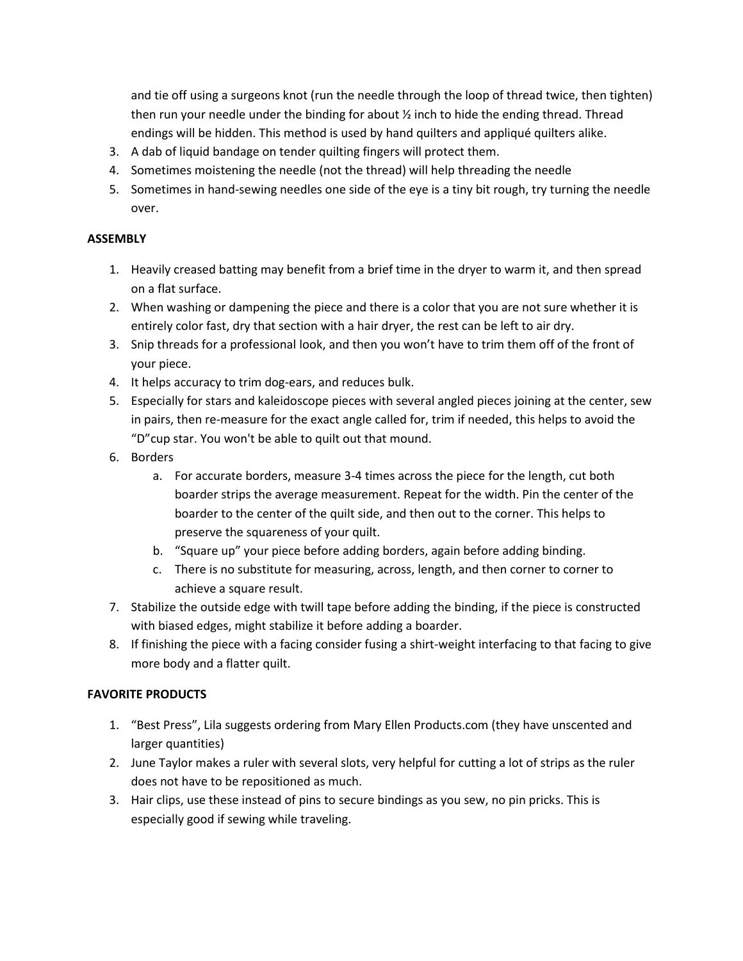and tie off using a surgeons knot (run the needle through the loop of thread twice, then tighten) then run your needle under the binding for about  $\frac{1}{2}$  inch to hide the ending thread. Thread endings will be hidden. This method is used by hand quilters and appliqué quilters alike.

- 3. A dab of liquid bandage on tender quilting fingers will protect them.
- 4. Sometimes moistening the needle (not the thread) will help threading the needle
- 5. Sometimes in hand-sewing needles one side of the eye is a tiny bit rough, try turning the needle over.

#### **ASSEMBLY**

- 1. Heavily creased batting may benefit from a brief time in the dryer to warm it, and then spread on a flat surface.
- 2. When washing or dampening the piece and there is a color that you are not sure whether it is entirely color fast, dry that section with a hair dryer, the rest can be left to air dry.
- 3. Snip threads for a professional look, and then you won't have to trim them off of the front of your piece.
- 4. It helps accuracy to trim dog-ears, and reduces bulk.
- 5. Especially for stars and kaleidoscope pieces with several angled pieces joining at the center, sew in pairs, then re-measure for the exact angle called for, trim if needed, this helps to avoid the "D"cup star. You won't be able to quilt out that mound.
- 6. Borders
	- a. For accurate borders, measure 3-4 times across the piece for the length, cut both boarder strips the average measurement. Repeat for the width. Pin the center of the boarder to the center of the quilt side, and then out to the corner. This helps to preserve the squareness of your quilt.
	- b. "Square up" your piece before adding borders, again before adding binding.
	- c. There is no substitute for measuring, across, length, and then corner to corner to achieve a square result.
- 7. Stabilize the outside edge with twill tape before adding the binding, if the piece is constructed with biased edges, might stabilize it before adding a boarder.
- 8. If finishing the piece with a facing consider fusing a shirt-weight interfacing to that facing to give more body and a flatter quilt.

# **FAVORITE PRODUCTS**

- 1. "Best Press", Lila suggests ordering from Mary Ellen Products.com (they have unscented and larger quantities)
- 2. June Taylor makes a ruler with several slots, very helpful for cutting a lot of strips as the ruler does not have to be repositioned as much.
- 3. Hair clips, use these instead of pins to secure bindings as you sew, no pin pricks. This is especially good if sewing while traveling.